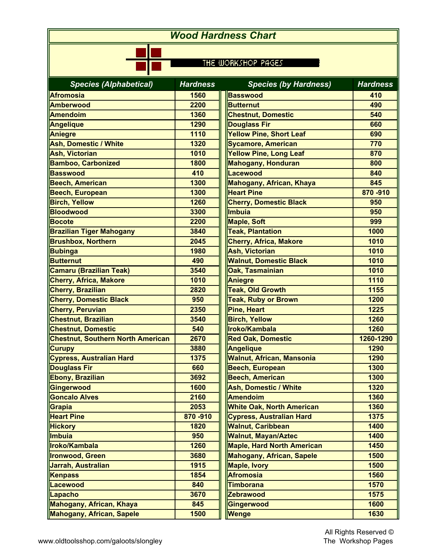| <b>Wood Hardness Chart</b><br>THE WORKSHOP PAGES |         |                                   |           |  |
|--------------------------------------------------|---------|-----------------------------------|-----------|--|
|                                                  |         |                                   |           |  |
| <b>Afromosia</b>                                 | 1560    | <b>Basswood</b>                   | 410       |  |
| <b>Amberwood</b>                                 | 2200    | <b>Butternut</b>                  | 490       |  |
| <b>Amendoim</b>                                  | 1360    | <b>Chestnut, Domestic</b>         | 540       |  |
| Angelique                                        | 1290    | <b>Douglass Fir</b>               | 660       |  |
| Aniegre                                          | 1110    | <b>Yellow Pine, Short Leaf</b>    | 690       |  |
| <b>Ash, Domestic / White</b>                     | 1320    | <b>Sycamore, American</b>         | 770       |  |
| <b>Ash, Victorian</b>                            | 1010    | <b>Yellow Pine, Long Leaf</b>     | 870       |  |
| <b>Bamboo, Carbonized</b>                        | 1800    | Mahogany, Honduran                | 800       |  |
| <b>Basswood</b>                                  | 410     | Lacewood                          | 840       |  |
| <b>Beech, American</b>                           | 1300    | Mahogany, African, Khaya          | 845       |  |
| <b>Beech, European</b>                           | 1300    | <b>Heart Pine</b>                 | 870-910   |  |
| <b>Birch, Yellow</b>                             | 1260    | <b>Cherry, Domestic Black</b>     | 950       |  |
| <b>Bloodwood</b>                                 | 3300    | Imbuia                            | 950       |  |
| <b>Bocote</b>                                    | 2200    | <b>Maple, Soft</b>                | 999       |  |
| <b>Brazilian Tiger Mahogany</b>                  | 3840    | <b>Teak, Plantation</b>           | 1000      |  |
| <b>Brushbox, Northern</b>                        | 2045    | <b>Cherry, Africa, Makore</b>     | 1010      |  |
| <b>Bubinga</b>                                   | 1980    | <b>Ash, Victorian</b>             | 1010      |  |
| <b>Butternut</b>                                 | 490     | <b>Walnut, Domestic Black</b>     | 1010      |  |
| <b>Camaru (Brazilian Teak)</b>                   | 3540    | Oak, Tasmainian                   | 1010      |  |
| <b>Cherry, Africa, Makore</b>                    | 1010    | <b>Aniegre</b>                    | 1110      |  |
| <b>Cherry, Brazilian</b>                         | 2820    | <b>Teak, Old Growth</b>           | 1155      |  |
| <b>Cherry, Domestic Black</b>                    | 950     | <b>Teak, Ruby or Brown</b>        | 1200      |  |
| <b>Cherry, Peruvian</b>                          | 2350    | Pine, Heart                       | 1225      |  |
| <b>Chestnut, Brazilian</b>                       | 3540    | <b>Birch, Yellow</b>              | 1260      |  |
| <b>Chestnut, Domestic</b>                        | 540     | Iroko/Kambala                     | 1260      |  |
| <b>Chestnut, Southern North American</b>         | 2670    | <b>Red Oak, Domestic</b>          | 1260-1290 |  |
| <b>Curupy</b>                                    | 3880    | <b>Angelique</b>                  | 1290      |  |
| <b>Cypress, Australian Hard</b>                  | 1375    | <b>Walnut, African, Mansonia</b>  | 1290      |  |
| <b>Douglass Fir</b>                              | 660     | <b>Beech, European</b>            | 1300      |  |
| Ebony, Brazilian                                 | 3692    | <b>Beech, American</b>            | 1300      |  |
| Gingerwood                                       | 1600    | <b>Ash, Domestic / White</b>      | 1320      |  |
| <b>Goncalo Alves</b>                             | 2160    | <b>Amendoim</b>                   | 1360      |  |
| Grapia                                           | 2053    | <b>White Oak, North American</b>  | 1360      |  |
| <b>Heart Pine</b>                                | 870-910 | <b>Cypress, Australian Hard</b>   | 1375      |  |
| <b>Hickory</b>                                   | 1820    | <b>Walnut, Caribbean</b>          | 1400      |  |
| <i><b>Imbuia</b></i>                             | 950     | <b>Walnut, Mayan/Aztec</b>        | 1400      |  |
| Iroko/Kambala                                    | 1260    | <b>Maple, Hard North American</b> | 1450      |  |
| <b>Ironwood, Green</b>                           | 3680    | <b>Mahogany, African, Sapele</b>  | 1500      |  |
| Jarrah, Australian                               | 1915    | <b>Maple, Ivory</b>               | 1500      |  |
| Kenpass                                          | 1854    | <b>Afromosia</b>                  | 1560      |  |
| <b>Lacewood</b>                                  | 840     | <b>Timborana</b>                  | 1570      |  |
| Lapacho                                          | 3670    | <b>Zebrawood</b>                  | 1575      |  |
| Mahogany, African, Khaya                         | 845     | Gingerwood                        | 1600      |  |
| <b>Mahogany, African, Sapele</b>                 | 1500    | Wenge                             | 1630      |  |
|                                                  |         |                                   |           |  |